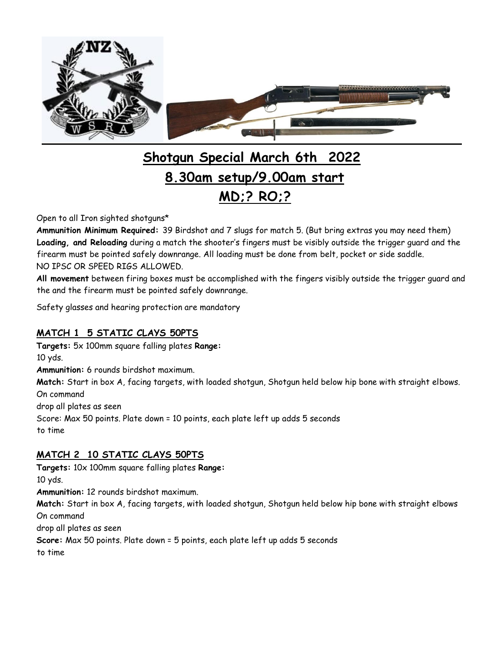

# **Shotgun Special March 6th 2022 8.30am setup/9.00am start MD;? RO;?**

Open to all Iron sighted shotguns\*

**Ammunition Minimum Required:** 39 Birdshot and 7 slugs for match 5. (But bring extras you may need them) **Loading, and Reloading** during a match the shooter's fingers must be visibly outside the trigger guard and the firearm must be pointed safely downrange. All loading must be done from belt, pocket or side saddle. NO IPSC OR SPEED RIGS ALLOWED.

**All movement** between firing boxes must be accomplished with the fingers visibly outside the trigger guard and the and the firearm must be pointed safely downrange.

Safety glasses and hearing protection are mandatory

# **MATCH 1 5 STATIC CLAYS 50PTS**

**Targets:** 5x 100mm square falling plates **Range:** 10 yds. **Ammunition:** 6 rounds birdshot maximum. **Match:** Start in box A, facing targets, with loaded shotgun, Shotgun held below hip bone with straight elbows. On command drop all plates as seen Score: Max 50 points. Plate down = 10 points, each plate left up adds 5 seconds to time

# **MATCH 2 10 STATIC CLAYS 50PTS**

**Targets:** 10x 100mm square falling plates **Range:** 10 yds. **Ammunition:** 12 rounds birdshot maximum. **Match:** Start in box A, facing targets, with loaded shotgun, Shotgun held below hip bone with straight elbows On command drop all plates as seen **Score:** Max 50 points. Plate down = 5 points, each plate left up adds 5 seconds

to time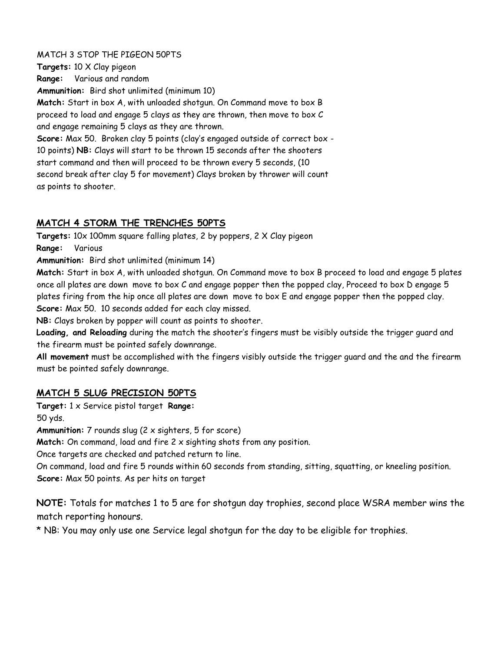#### MATCH 3 STOP THE PIGEON 50PTS

**Targets:** 10 X Clay pigeon **Range:** Various and random **Ammunition:** Bird shot unlimited (minimum 10) **Match:** Start in box A, with unloaded shotgun. On Command move to box B proceed to load and engage 5 clays as they are thrown, then move to box C and engage remaining 5 clays as they are thrown. **Score:** Max 50. Broken clay 5 points (clay's engaged outside of correct box - 10 points) **NB:** Clays will start to be thrown 15 seconds after the shooters start command and then will proceed to be thrown every 5 seconds, (10 second break after clay 5 for movement) Clays broken by thrower will count as points to shooter.

### **MATCH 4 STORM THE TRENCHES 50PTS**

**Targets:** 10x 100mm square falling plates, 2 by poppers, 2 X Clay pigeon

**Range:** Various

**Ammunition:** Bird shot unlimited (minimum 14)

**Match:** Start in box A, with unloaded shotgun. On Command move to box B proceed to load and engage 5 plates once all plates are down move to box C and engage popper then the popped clay, Proceed to box D engage 5 plates firing from the hip once all plates are down move to box E and engage popper then the popped clay. **Score:** Max 50. 10 seconds added for each clay missed.

**NB:** Clays broken by popper will count as points to shooter.

**Loading, and Reloading** during the match the shooter's fingers must be visibly outside the trigger guard and the firearm must be pointed safely downrange.

**All movement** must be accomplished with the fingers visibly outside the trigger guard and the and the firearm must be pointed safely downrange.

### **MATCH 5 SLUG PRECISION 50PTS**

**Target:** 1 x Service pistol target **Range:**

50 yds.

**Ammunition:** 7 rounds slug (2 x sighters, 5 for score)

**Match:** On command, load and fire 2 x sighting shots from any position.

Once targets are checked and patched return to line.

On command, load and fire 5 rounds within 60 seconds from standing, sitting, squatting, or kneeling position. **Score:** Max 50 points. As per hits on target

**NOTE:** Totals for matches 1 to 5 are for shotgun day trophies, second place WSRA member wins the match reporting honours.

\* NB: You may only use one Service legal shotgun for the day to be eligible for trophies.